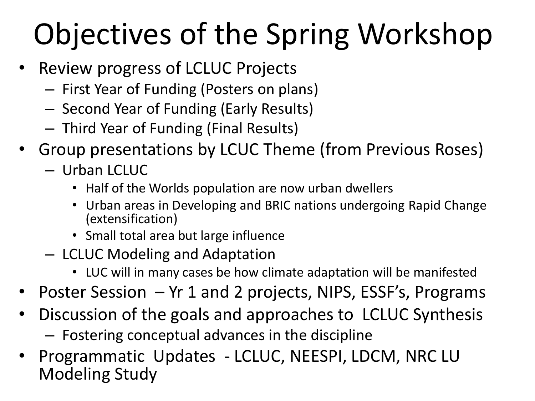## Objectives of the Spring Workshop

- Review progress of LCLUC Projects
	- First Year of Funding (Posters on plans)
	- Second Year of Funding (Early Results)
	- Third Year of Funding (Final Results)
- Group presentations by LCUC Theme (from Previous Roses)
	- Urban LCLUC
		- Half of the Worlds population are now urban dwellers
		- Urban areas in Developing and BRIC nations undergoing Rapid Change (extensification)
		- Small total area but large influence
	- LCLUC Modeling and Adaptation
		- LUC will in many cases be how climate adaptation will be manifested
- Poster Session Yr 1 and 2 projects, NIPS, ESSF's, Programs
- Discussion of the goals and approaches to LCLUC Synthesis
	- Fostering conceptual advances in the discipline
- Programmatic Updates LCLUC, NEESPI, LDCM, NRC LU Modeling Study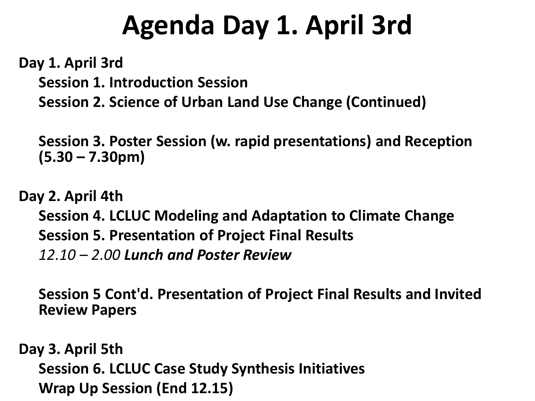## **Agenda Day 1. April 3rd**

**Day 1. April 3rd Session 1. Introduction Session Session 2. Science of Urban Land Use Change (Continued)**

**Session 3. Poster Session (w. rapid presentations) and Reception (5.30 – 7.30pm)**

**Day 2. April 4th Session 4. LCLUC Modeling and Adaptation to Climate Change Session 5. Presentation of Project Final Results** *12.10 – 2.00 Lunch and Poster Review*

**Session 5 Cont'd. Presentation of Project Final Results and Invited Review Papers**

**Day 3. April 5th Session 6. LCLUC Case Study Synthesis Initiatives Wrap Up Session (End 12.15)**